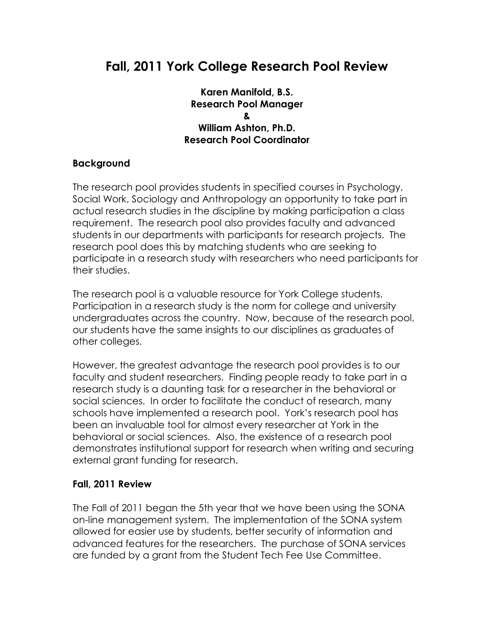# **Fall, 2011 York College Research Pool Review**

#### **Karen Manifold, B.S. Research Pool Manager & William Ashton, Ph.D. Research Pool Coordinator**

### **Background**

The research pool provides students in specified courses in Psychology, Social Work, Sociology and Anthropology an opportunity to take part in actual research studies in the discipline by making participation a class requirement. The research pool also provides faculty and advanced students in our departments with participants for research projects. The research pool does this by matching students who are seeking to participate in a research study with researchers who need participants for their studies.

The research pool is a valuable resource for York College students. Participation in a research study is the norm for college and university undergraduates across the country. Now, because of the research pool, our students have the same insights to our disciplines as graduates of other colleges.

However, the greatest advantage the research pool provides is to our faculty and student researchers. Finding people ready to take part in a research study is a daunting task for a researcher in the behavioral or social sciences. In order to facilitate the conduct of research, many schools have implemented a research pool. York's research pool has been an invaluable tool for almost every researcher at York in the behavioral or social sciences. Also, the existence of a research pool demonstrates institutional support for research when writing and securing external grant funding for research.

### **Fall, 2011 Review**

The Fall of 2011 began the 5th year that we have been using the SONA on-line management system. The implementation of the SONA system allowed for easier use by students, better security of information and advanced features for the researchers. The purchase of SONA services are funded by a grant from the Student Tech Fee Use Committee.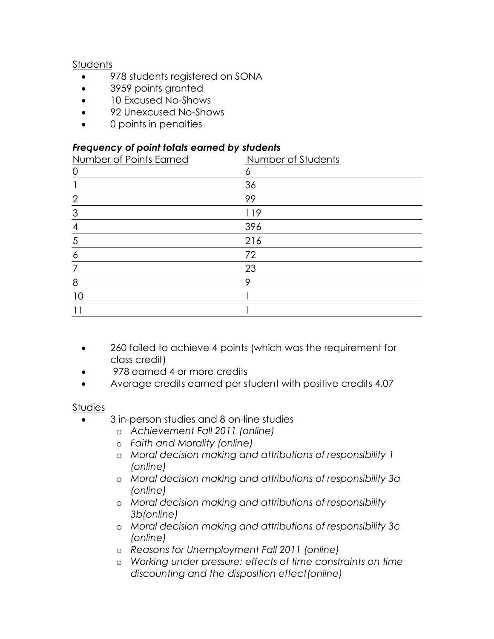## **Students**

- 978 students registered on SONA
- 3959 points granted
- 10 Excused No-Shows
- 92 Unexcused No-Shows
- 0 points in penalties

### *Frequency of point totals earned by students*

| Number of Points Earned | Number of Students |
|-------------------------|--------------------|
| $\circ$                 | 6                  |
|                         | 36                 |
| $\overline{2}$          | 99                 |
| 3                       | 119                |
| 4                       | 396                |
| 5                       | 216                |
| 6                       | 72                 |
| 7                       | 23                 |
| 8                       | 9                  |
| 10                      |                    |
|                         |                    |

- 260 failed to achieve 4 points (which was the requirement for class credit)
- 978 earned 4 or more credits
- Average credits earned per student with positive credits 4.07

### **Studies**

- 3 in-person studies and 8 on-line studies
	- o *Achievement Fall 2011 (online)*
	- o *Faith and Morality (online)*
	- o *Moral decision making and attributions of responsibility 1 (online)*
	- o *Moral decision making and attributions of responsibility 3a (online)*
	- o *Moral decision making and attributions of responsibility 3b(online)*
	- o *Moral decision making and attributions of responsibility 3c (online)*
	- o *Reasons for Unemployment Fall 2011 (online)*
	- o *Working under pressure: effects of time constraints on time discounting and the disposition effect(online)*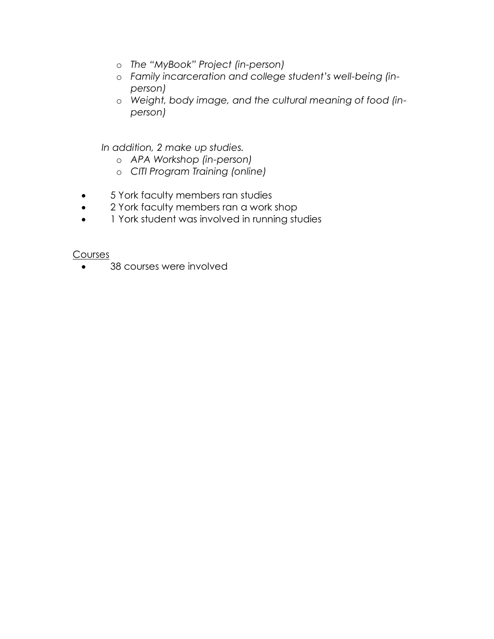- o *The "MyBook" Project (in-person)*
- o *Family incarceration and college student's well-being (inperson)*
- o *Weight, body image, and the cultural meaning of food (inperson)*

 *In addition, 2 make up studies.*

- o *APA Workshop (in-person)*
- o *CITI Program Training (online)*
- 5 York faculty members ran studies
- 2 York faculty members ran a work shop
- 1 York student was involved in running studies

Courses

• 38 courses were involved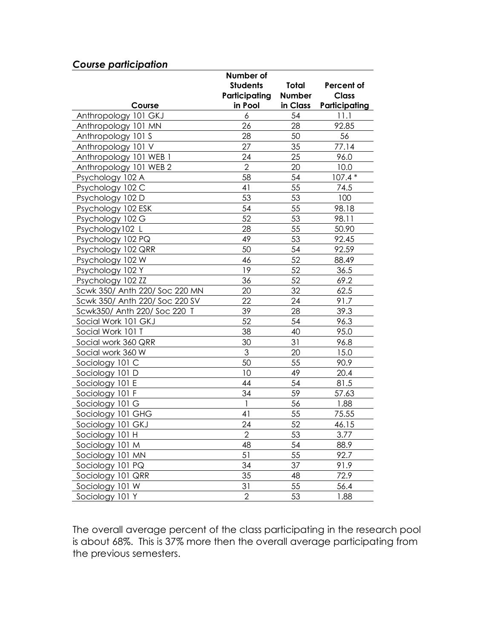| Course                         | Number of<br><b>Students</b><br>Participating<br>in Pool | <b>Total</b><br><b>Number</b><br>in Class | Percent of<br><b>Class</b><br>Participating |
|--------------------------------|----------------------------------------------------------|-------------------------------------------|---------------------------------------------|
| Anthropology 101 GKJ           | 6                                                        | 54                                        | 11.1                                        |
| Anthropology 101 MN            | 26                                                       | 28                                        | 92.85                                       |
| Anthropology 101 S             | 28                                                       | 50                                        | 56                                          |
| Anthropology 101 V             | 27                                                       | 35                                        | 77.14                                       |
| Anthropology 101 WEB 1         | 24                                                       | 25                                        | 96.0                                        |
| Anthropology 101 WEB 2         | $\overline{2}$                                           | 20                                        | 10.0                                        |
| Psychology 102 A               | 58                                                       | 54                                        | $107.4*$                                    |
| Psychology 102 C               | 41                                                       | 55                                        | 74.5                                        |
| Psychology 102 D               | 53                                                       | 53                                        | 100                                         |
| Psychology 102 ESK             | 54                                                       | 55                                        | 98.18                                       |
| Psychology 102 G               | 52                                                       | 53                                        | 98.11                                       |
| Psychology102 L                | 28                                                       | 55                                        | 50.90                                       |
| Psychology 102 PQ              | 49                                                       | 53                                        | 92.45                                       |
| Psychology 102 QRR             | 50                                                       | 54                                        | 92.59                                       |
| Psychology 102 W               | 46                                                       | 52                                        | 88.49                                       |
| Psychology 102 Y               | 19                                                       | 52                                        | 36.5                                        |
| Psychology 102 ZZ              | 36                                                       | 52                                        | 69.2                                        |
| Scwk 350/ Anth 220/ Soc 220 MN | 20                                                       | 32                                        | 62.5                                        |
| Scwk 350/ Anth 220/ Soc 220 SV | 22                                                       | 24                                        | 91.7                                        |
| Scwk350/ Anth 220/ Soc 220 T   | 39                                                       | 28                                        | 39.3                                        |
| Social Work 101 GKJ            | 52                                                       | 54                                        | 96.3                                        |
| Social Work 101 T              | 38                                                       | 40                                        | 95.0                                        |
| Social work 360 QRR            | 30                                                       | 31                                        | 96.8                                        |
| Social work 360 W              | 3                                                        | 20                                        | 15.0                                        |
| Sociology 101 C                | 50                                                       | 55                                        | 90.9                                        |
| Sociology 101 D                | 10                                                       | 49                                        | 20.4                                        |
| Sociology 101 E                | 44                                                       | 54                                        | 81.5                                        |
| Sociology 101 F                | 34                                                       | 59                                        | 57.63                                       |
| Sociology 101 G                | $\mathbf{1}$                                             | 56                                        | 1.88                                        |
| Sociology 101 GHG              | 41                                                       | 55                                        | 75.55                                       |
| Sociology 101 GKJ              | 24                                                       | 52                                        | 46.15                                       |
| Sociology 101 H                | $\overline{2}$                                           | 53                                        | 3.77                                        |
| Sociology 101 M                | 48                                                       | 54                                        | 88.9                                        |
| Sociology 101 MN               | 51                                                       | 55                                        | 92.7                                        |
| Sociology 101 PQ               | 34                                                       | 37                                        | 91.9                                        |
| Sociology 101 QRR              | 35                                                       | 48                                        | 72.9                                        |
| Sociology 101 W                | 31                                                       | 55                                        | 56.4                                        |
| Sociology 101 Y                | $\mathbf{2}$                                             | 53                                        | 1.88                                        |

*Course participation*

The overall average percent of the class participating in the research pool is about 68%. This is 37% more then the overall average participating from the previous semesters.